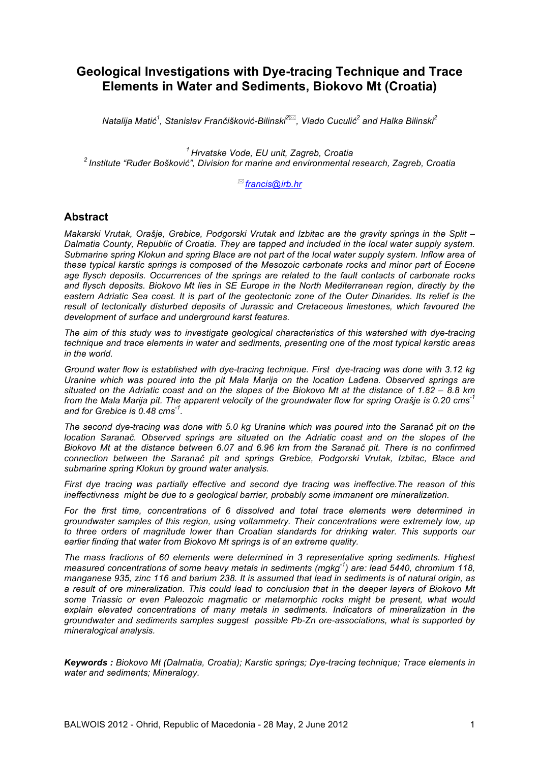# **Geological Investigations with Dye-tracing Technique and Trace Elements in Water and Sediments, Biokovo Mt (Croatia)**

 $^2$  *Natalija Matić* $^1$ *, Stanislav Frančišković-Bilinski* $^{2 \boxtimes}$ *, Vlado Cuculić* $^2$  *and Halka Bilinski* $^{2}$ 

*<sup>1</sup> Hrvatske Vode, EU unit, Zagreb, Croatia <sup>2</sup> Institute "Ruđer Bošković", Division for marine and environmental research, Zagreb, Croatia*

! *francis@irb.hr*

# **Abstract**

*Makarski Vrutak, Orašje, Grebice, Podgorski Vrutak and Izbitac are the gravity springs in the Split – Dalmatia County, Republic of Croatia. They are tapped and included in the local water supply system. Submarine spring Klokun and spring Blace are not part of the local water supply system. Inflow area of these typical karstic springs is composed of the Mesozoic carbonate rocks and minor part of Eocene age flysch deposits. Occurrences of the springs are related to the fault contacts of carbonate rocks and flysch deposits. Biokovo Mt lies in SE Europe in the North Mediterranean region, directly by the eastern Adriatic Sea coast. It is part of the geotectonic zone of the Outer Dinarides. Its relief is the result of tectonically disturbed deposits of Jurassic and Cretaceous limestones, which favoured the development of surface and underground karst features.*

*The aim of this study was to investigate geological characteristics of this watershed with dye-tracing technique and trace elements in water and sediments, presenting one of the most typical karstic areas in the world.*

*Ground water flow is established with dye-tracing technique. First dye-tracing was done with 3.12 kg Uranine which was poured into the pit Mala Marija on the location Lađena. Observed springs are situated on the Adriatic coast and on the slopes of the Biokovo Mt at the distance of 1.82 – 8.8 km from the Mala Marija pit. The apparent velocity of the groundwater flow for spring Orašje is 0.20 cms-1 and for Grebice is 0.48 cms -1 .*

*The second dye-tracing was done with 5.0 kg Uranine which was poured into the Saranač pit on the location Saranač. Observed springs are situated on the Adriatic coast and on the slopes of the Biokovo Mt at the distance between 6.07 and 6.96 km from the Saranač pit. There is no confirmed connection between the Saranač pit and springs Grebice, Podgorski Vrutak, Izbitac, Blace and submarine spring Klokun by ground water analysis.*

*First dye tracing was partially effective and second dye tracing was ineffective.The reason of this ineffectivness might be due to a geological barrier, probably some immanent ore mineralization.*

*For the first time, concentrations of 6 dissolved and total trace elements were determined in groundwater samples of this region, using voltammetry. Their concentrations were extremely low, up to three orders of magnitude lower than Croatian standards for drinking water. This supports our earlier finding that water from Biokovo Mt springs is of an extreme quality.*

*The mass fractions of 60 elements were determined in 3 representative spring sediments. Highest measured concentrations of some heavy metals in sediments (mgkg-1 ) are: lead 5440, chromium 118, manganese 935, zinc 116 and barium 238. It is assumed that lead in sediments is of natural origin, as a result of ore mineralization. This could lead to conclusion that in the deeper layers of Biokovo Mt some Triassic or even Paleozoic magmatic or metamorphic rocks might be present, what would explain elevated concentrations of many metals in sediments. Indicators of mineralization in the groundwater and sediments samples suggest possible Pb-Zn ore-associations, what is supported by mineralogical analysis.*

*Keywords : Biokovo Mt (Dalmatia, Croatia); Karstic springs; Dye-tracing technique; Trace elements in water and sediments; Mineralogy.*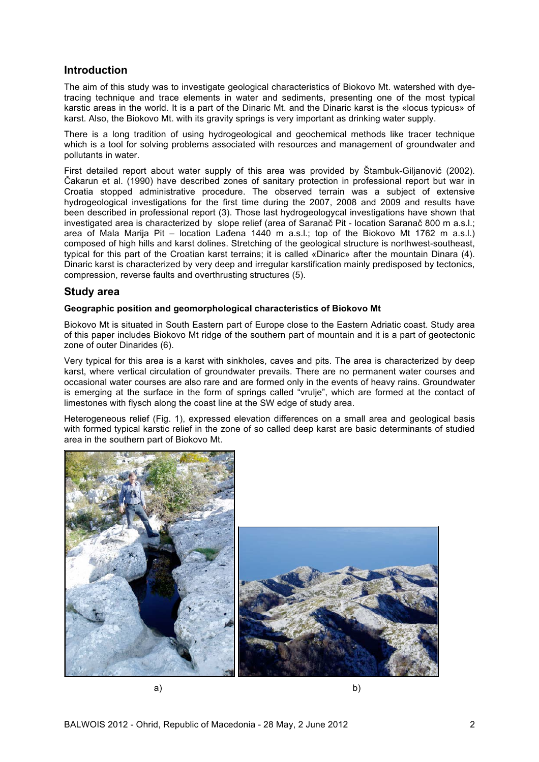# **Introduction**

The aim of this study was to investigate geological characteristics of Biokovo Mt. watershed with dyetracing technique and trace elements in water and sediments, presenting one of the most typical karstic areas in the world. It is a part of the Dinaric Mt. and the Dinaric karst is the «locus typicus» of karst. Also, the Biokovo Mt. with its gravity springs is very important as drinking water supply.

There is a long tradition of using hydrogeological and geochemical methods like tracer technique which is a tool for solving problems associated with resources and management of groundwater and pollutants in water.

First detailed report about water supply of this area was provided by Štambuk-Giljanović (2002). Čakarun et al. (1990) have described zones of sanitary protection in professional report but war in Croatia stopped administrative procedure. The observed terrain was a subject of extensive hydrogeological investigations for the first time during the 2007, 2008 and 2009 and results have been described in professional report (3). Those last hydrogeologycal investigations have shown that investigated area is characterized by slope relief (area of Saranač Pit - location Saranač 800 m a.s.l.; area of Mala Marija Pit – location Lađena 1440 m a.s.l.; top of the Biokovo Mt 1762 m a.s.l.) composed of high hills and karst dolines. Stretching of the geological structure is northwest-southeast, typical for this part of the Croatian karst terrains; it is called «Dinaric» after the mountain Dinara (4). Dinaric karst is characterized by very deep and irregular karstification mainly predisposed by tectonics, compression, reverse faults and overthrusting structures (5).

# **Study area**

### **Geographic position and geomorphological characteristics of Biokovo Mt**

Biokovo Mt is situated in South Eastern part of Europe close to the Eastern Adriatic coast. Study area of this paper includes Biokovo Mt ridge of the southern part of mountain and it is a part of geotectonic zone of outer Dinarides (6).

Very typical for this area is a karst with sinkholes, caves and pits. The area is characterized by deep karst, where vertical circulation of groundwater prevails. There are no permanent water courses and occasional water courses are also rare and are formed only in the events of heavy rains. Groundwater is emerging at the surface in the form of springs called "vrulje", which are formed at the contact of limestones with flysch along the coast line at the SW edge of study area.

Heterogeneous relief (Fig. 1), expressed elevation differences on a small area and geological basis with formed typical karstic relief in the zone of so called deep karst are basic determinants of studied area in the southern part of Biokovo Mt.



a) b)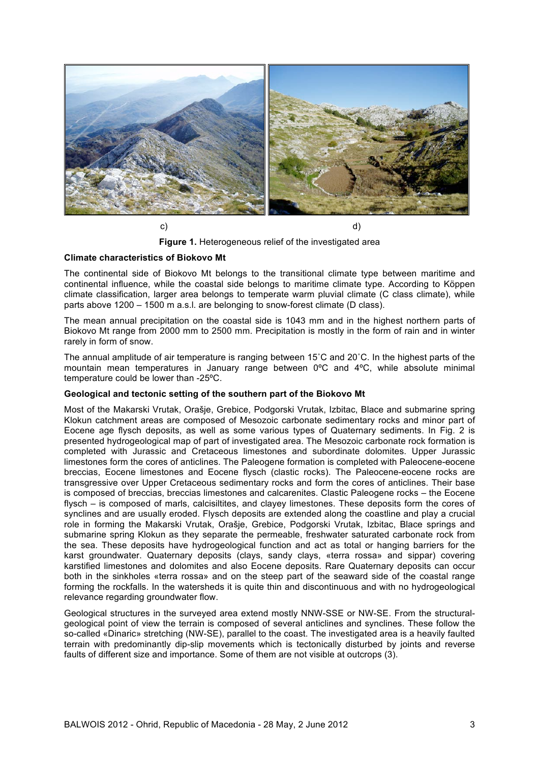

**Figure 1.** Heterogeneous relief of the investigated area

#### **Climate characteristics of Biokovo Mt**

The continental side of Biokovo Mt belongs to the transitional climate type between maritime and continental influence, while the coastal side belongs to maritime climate type. According to Köppen climate classification, larger area belongs to temperate warm pluvial climate (C class climate), while parts above 1200 – 1500 m a.s.l. are belonging to snow-forest climate (D class).

The mean annual precipitation on the coastal side is 1043 mm and in the highest northern parts of Biokovo Mt range from 2000 mm to 2500 mm. Precipitation is mostly in the form of rain and in winter rarely in form of snow.

The annual amplitude of air temperature is ranging between 15˚C and 20˚C. In the highest parts of the mountain mean temperatures in January range between 0ºC and 4ºC, while absolute minimal temperature could be lower than -25ºC.

#### **Geological and tectonic setting of the southern part of the Biokovo Mt**

Most of the Makarski Vrutak, Orašje, Grebice, Podgorski Vrutak, Izbitac, Blace and submarine spring Klokun catchment areas are composed of Mesozoic carbonate sedimentary rocks and minor part of Eocene age flysch deposits, as well as some various types of Quaternary sediments. In Fig. 2 is presented hydrogeological map of part of investigated area. The Mesozoic carbonate rock formation is completed with Jurassic and Cretaceous limestones and subordinate dolomites. Upper Jurassic limestones form the cores of anticlines. The Paleogene formation is completed with Paleocene-eocene breccias, Eocene limestones and Eocene flysch (clastic rocks). The Paleocene-eocene rocks are transgressive over Upper Cretaceous sedimentary rocks and form the cores of anticlines. Their base is composed of breccias, breccias limestones and calcarenites. Clastic Paleogene rocks – the Eocene flysch – is composed of marls, calcisiltites, and clayey limestones. These deposits form the cores of synclines and are usually eroded. Flysch deposits are extended along the coastline and play a crucial role in forming the Makarski Vrutak, Orašje, Grebice, Podgorski Vrutak, Izbitac, Blace springs and submarine spring Klokun as they separate the permeable, freshwater saturated carbonate rock from the sea. These deposits have hydrogeological function and act as total or hanging barriers for the karst groundwater. Quaternary deposits (clays, sandy clays, «terra rossa» and sippar) covering karstified limestones and dolomites and also Eocene deposits. Rare Quaternary deposits can occur both in the sinkholes «terra rossa» and on the steep part of the seaward side of the coastal range forming the rockfalls. In the watersheds it is quite thin and discontinuous and with no hydrogeological relevance regarding groundwater flow.

Geological structures in the surveyed area extend mostly NNW-SSE or NW-SE. From the structuralgeological point of view the terrain is composed of several anticlines and synclines. These follow the so-called «Dinaric» stretching (NW-SE), parallel to the coast. The investigated area is a heavily faulted terrain with predominantly dip-slip movements which is tectonically disturbed by joints and reverse faults of different size and importance. Some of them are not visible at outcrops (3).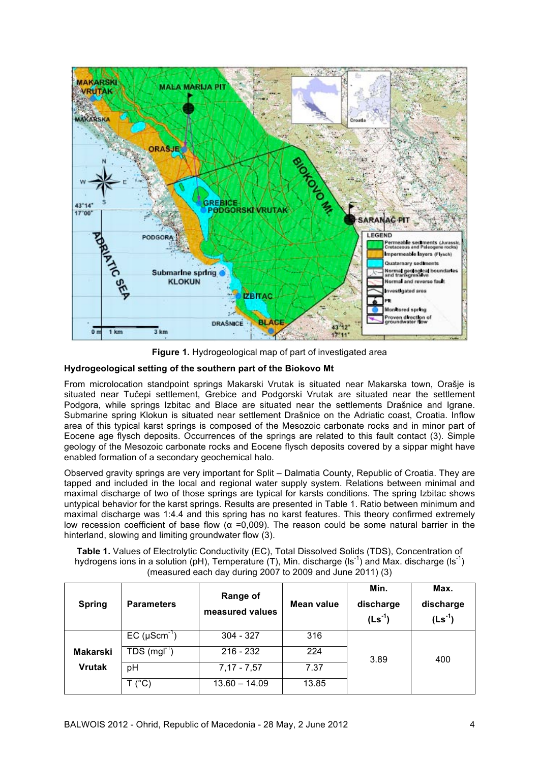

**Figure 1.** Hydrogeological map of part of investigated area

### **Hydrogeological setting of the southern part of the Biokovo Mt**

From microlocation standpoint springs Makarski Vrutak is situated near Makarska town, Orašje is situated near Tučepi settlement, Grebice and Podgorski Vrutak are situated near the settlement Podgora, while springs Izbitac and Blace are situated near the settlements Drašnice and Igrane. Submarine spring Klokun is situated near settlement Drašnice on the Adriatic coast, Croatia. Inflow area of this typical karst springs is composed of the Mesozoic carbonate rocks and in minor part of Eocene age flysch deposits. Occurrences of the springs are related to this fault contact (3). Simple geology of the Mesozoic carbonate rocks and Eocene flysch deposits covered by a sippar might have enabled formation of a secondary geochemical halo.

Observed gravity springs are very important for Split – Dalmatia County, Republic of Croatia. They are tapped and included in the local and regional water supply system. Relations between minimal and maximal discharge of two of those springs are typical for karsts conditions. The spring Izbitac shows untypical behavior for the karst springs. Results are presented in Table 1. Ratio between minimum and maximal discharge was 1:4.4 and this spring has no karst features. This theory confirmed extremely low recession coefficient of base flow ( $\alpha$  =0,009). The reason could be some natural barrier in the hinterland, slowing and limiting groundwater flow (3).

**Table 1.** Values of Electrolytic Conductivity (EC), Total Dissolved Solids (TDS), Concentration of hydrogens ions in a solution (pH), Temperature (T), Min. discharge (ls<sup>-1</sup>) and Max. discharge (ls<sup>-1</sup>) (measured each day during 2007 to 2009 and June 2011) (3)

| <b>Spring</b>   | <b>Parameters</b>          | Range of<br>measured values | Mean value | Min.<br>discharge<br>$(Ls^{-1})$ | Max.<br>discharge<br>$(Ls^{-1})$ |
|-----------------|----------------------------|-----------------------------|------------|----------------------------------|----------------------------------|
|                 | $EC$ (µScm <sup>-1</sup> ) | $304 - 327$                 | 316        |                                  |                                  |
| <b>Makarski</b> | $TDS (mgl-1)$              | $216 - 232$                 | 224        | 3.89                             | 400                              |
| <b>Vrutak</b>   | pH                         | $7,17 - 7,57$               | 7.37       |                                  |                                  |
|                 | Г (°C)                     | $13.60 - 14.09$             | 13.85      |                                  |                                  |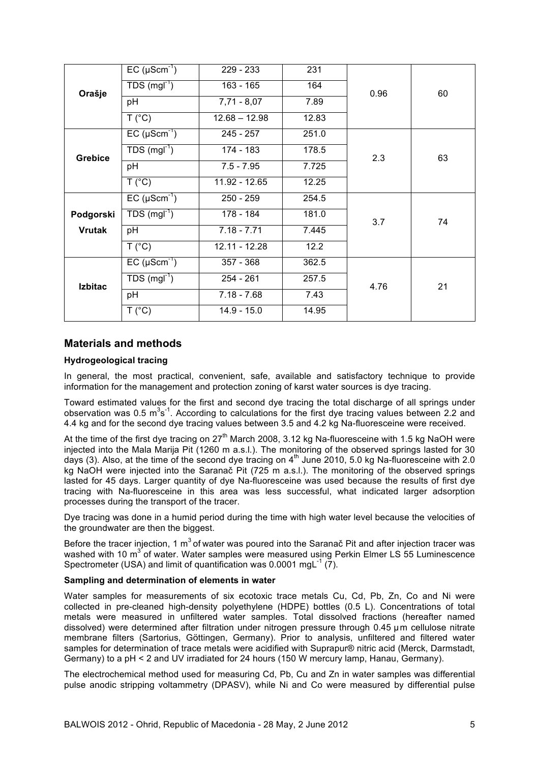| Orašje         | $EC (µScm-1)$              | 229 - 233             | 231   |      |    |  |
|----------------|----------------------------|-----------------------|-------|------|----|--|
|                | $TDS(mgl-1)$               | $163 - 165$           | 164   | 0.96 | 60 |  |
|                | pH                         | $7,71 - 8,07$<br>7.89 |       |      |    |  |
|                | T (°C)                     | $12.68 - 12.98$       | 12.83 |      |    |  |
|                | $EC (µScm-1)$              | 245 - 257             | 251.0 |      |    |  |
| <b>Grebice</b> | $TDS (mgl-1)$              | 174 - 183             | 178.5 | 2.3  | 63 |  |
|                | pH                         | $7.5 - 7.95$          | 7.725 |      |    |  |
|                | T (°C)                     | 11.92 - 12.65         | 12.25 |      |    |  |
|                | $EC (µScm-1)$              | $250 - 259$           | 254.5 |      |    |  |
| Podgorski      | TDS $(mgl-1)$              | 178 - 184             | 181.0 | 3.7  | 74 |  |
| <b>Vrutak</b>  | pH                         | $7.18 - 7.71$         | 7.445 |      |    |  |
|                | T (°C)                     | 12.11 - 12.28         | 12.2  |      |    |  |
|                | $EC (µScm-1)$              | $357 - 368$           | 362.5 |      |    |  |
| <b>Izbitac</b> | $TDS$ (mgl <sup>-1</sup> ) | $254 - 261$           | 257.5 | 4.76 | 21 |  |
|                | pH                         | $7.18 - 7.68$         | 7.43  |      |    |  |
|                | T (°C)                     | $14.9 - 15.0$         | 14.95 |      |    |  |

# **Materials and methods**

### **Hydrogeological tracing**

In general, the most practical, convenient, safe, available and satisfactory technique to provide information for the management and protection zoning of karst water sources is dye tracing.

Toward estimated values for the first and second dye tracing the total discharge of all springs under observation was 0.5  $\text{m}^3\text{s}^{-1}$ . According to calculations for the first dye tracing values between 2.2 and 4.4 kg and for the second dye tracing values between 3.5 and 4.2 kg Na-fluoresceine were received.

At the time of the first dye tracing on  $27<sup>th</sup>$  March 2008, 3.12 kg Na-fluoresceine with 1.5 kg NaOH were injected into the Mala Marija Pit (1260 m a.s.l.). The monitoring of the observed springs lasted for 30 days (3). Also, at the time of the second dye tracing on  $4<sup>th</sup>$  June 2010, 5.0 kg Na-fluoresceine with 2.0 kg NaOH were injected into the Saranač Pit (725 m a.s.l.). The monitoring of the observed springs lasted for 45 days. Larger quantity of dye Na-fluoresceine was used because the results of first dye tracing with Na-fluoresceine in this area was less successful, what indicated larger adsorption processes during the transport of the tracer.

Dye tracing was done in a humid period during the time with high water level because the velocities of the groundwater are then the biggest.

Before the tracer injection, 1  $m<sup>3</sup>$  of water was poured into the Saranač Pit and after injection tracer was washed with 10  $\text{m}^3$  of water. Water samples were measured using Perkin Elmer LS 55 Luminescence Spectrometer (USA) and limit of quantification was 0.0001 mgL $^{-1}$  (7).

#### **Sampling and determination of elements in water**

Water samples for measurements of six ecotoxic trace metals Cu, Cd, Pb, Zn, Co and Ni were collected in pre-cleaned high-density polyethylene (HDPE) bottles (0.5 L). Concentrations of total metals were measured in unfiltered water samples. Total dissolved fractions (hereafter named dissolved) were determined after filtration under nitrogen pressure through 0.45 µm cellulose nitrate membrane filters (Sartorius, Göttingen, Germany). Prior to analysis, unfiltered and filtered water samples for determination of trace metals were acidified with Suprapur® nitric acid (Merck, Darmstadt, Germany) to a pH < 2 and UV irradiated for 24 hours (150 W mercury lamp, Hanau, Germany).

The electrochemical method used for measuring Cd, Pb, Cu and Zn in water samples was differential pulse anodic stripping voltammetry (DPASV), while Ni and Co were measured by differential pulse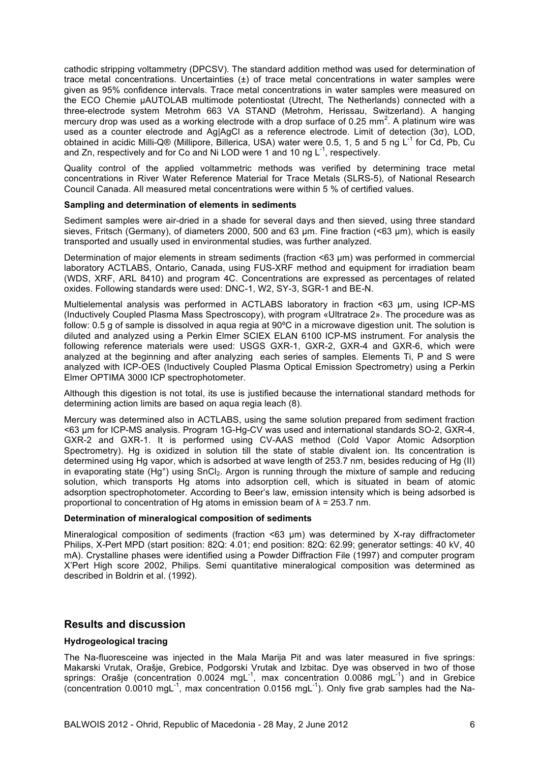cathodic stripping voltammetry (DPCSV). The standard addition method was used for determination of trace metal concentrations. Uncertainties  $(\pm)$  of trace metal concentrations in water samples were given as 95% confidence intervals. Trace metal concentrations in water samples were measured on the ECO Chemie µAUTOLAB multimode potentiostat (Utrecht, The Netherlands) connected with a three-electrode system Metrohm 663 VA STAND (Metrohm, Herissau, Switzerland). A hanging mercury drop was used as a working electrode with a drop surface of 0.25 mm<sup>2</sup>. A platinum wire was used as a counter electrode and Ag|AgCl as a reference electrode. Limit of detection (3σ), LOD, obtained in acidic Milli-Q® (Millipore, Billerica, USA) water were 0.5, 1, 5 and 5 ng L<sup>-1</sup> for Cd, Pb, Cu and Zn, respectively and for Co and Ni LOD were 1 and 10 ng  $L^{-1}$ , respectively.

Quality control of the applied voltammetric methods was verified by determining trace metal concentrations in River Water Reference Material for Trace Metals (SLRS-5), of National Research Council Canada. All measured metal concentrations were within 5 % of certified values.

#### **Sampling and determination of elements in sediments**

Sediment samples were air-dried in a shade for several days and then sieved, using three standard sieves, Fritsch (Germany), of diameters 2000, 500 and 63 µm. Fine fraction (<63 µm), which is easily transported and usually used in environmental studies, was further analyzed.

Determination of major elements in stream sediments (fraction <63 µm) was performed in commercial laboratory ACTLABS, Ontario, Canada, using FUS-XRF method and equipment for irradiation beam (WDS, XRF, ARL 8410) and program 4C. Concentrations are expressed as percentages of related oxides. Following standards were used: DNC-1, W2, SY-3, SGR-1 and BE-N.

Multielemental analysis was performed in ACTLABS laboratory in fraction <63 µm, using ICP-MS (Inductively Coupled Plasma Mass Spectroscopy), with program «Ultratrace 2». The procedure was as follow: 0.5 g of sample is dissolved in aqua regia at 90ºC in a microwave digestion unit. The solution is diluted and analyzed using a Perkin Elmer SCIEX ELAN 6100 ICP-MS instrument. For analysis the following reference materials were used: USGS GXR-1, GXR-2, GXR-4 and GXR-6, which were analyzed at the beginning and after analyzing each series of samples. Elements Ti, P and S were analyzed with ICP-OES (Inductively Coupled Plasma Optical Emission Spectrometry) using a Perkin Elmer OPTIMA 3000 ICP spectrophotometer.

Although this digestion is not total, its use is justified because the international standard methods for determining action limits are based on aqua regia leach (8).

Mercury was determined also in ACTLABS, using the same solution prepared from sediment fraction <63 µm for ICP-MS analysis. Program 1G-Hg-CV was used and international standards SO-2, GXR-4, GXR-2 and GXR-1. It is performed using CV-AAS method (Cold Vapor Atomic Adsorption Spectrometry). Hg is oxidized in solution till the state of stable divalent ion. Its concentration is determined using Hg vapor, which is adsorbed at wave length of 253.7 nm, besides reducing of Hg (II) in evaporating state (Hg<sup>o</sup>) using  $SnCl<sub>2</sub>$ . Argon is running through the mixture of sample and reducing solution, which transports Hg atoms into adsorption cell, which is situated in beam of atomic adsorption spectrophotometer. According to Beer's law, emission intensity which is being adsorbed is proportional to concentration of Hg atoms in emission beam of λ = 253.7 nm.

#### **Determination of mineralogical composition of sediments**

Mineralogical composition of sediments (fraction <63 µm) was determined by X-ray diffractometer Philips, X-Pert MPD (start position: 82Q: 4.01; end position: 82Q: 62.99; generator settings: 40 kV, 40 mA). Crystalline phases were identified using a Powder Diffraction File (1997) and computer program X'Pert High score 2002, Philips. Semi quantitative mineralogical composition was determined as described in Boldrin et al. (1992).

# **Results and discussion**

### **Hydrogeological tracing**

The Na-fluoresceine was injected in the Mala Marija Pit and was later measured in five springs: Makarski Vrutak, Orašje, Grebice, Podgorski Vrutak and Izbitac. Dye was observed in two of those springs: Orašje (concentration  $0.0024$  mgL<sup>-1</sup>, max concentration  $0.0086$  mgL<sup>-1</sup>) and in Grebice (concentration 0.0010 mgL-1 , max concentration 0.0156 mgL-1 ). Only five grab samples had the Na-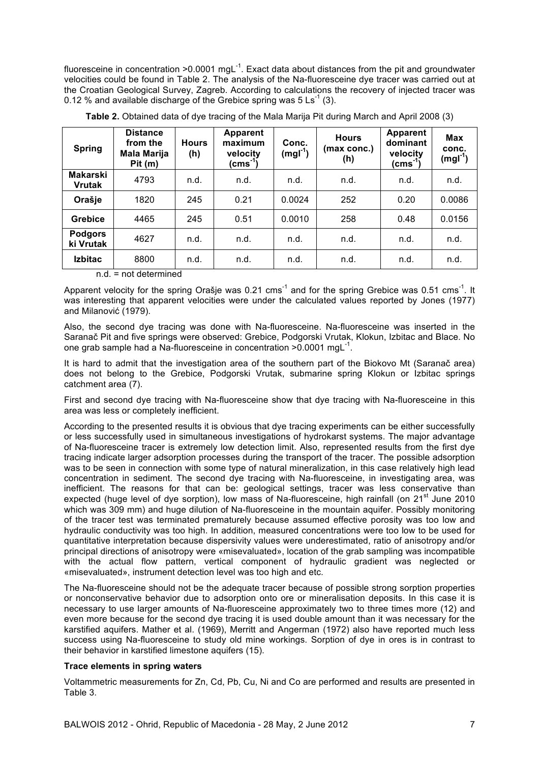fluoresceine in concentration >0.0001 mgL<sup>-1</sup>. Exact data about distances from the pit and groundwater velocities could be found in Table 2. The analysis of the Na-fluoresceine dye tracer was carried out at the Croatian Geological Survey, Zagreb. According to calculations the recovery of injected tracer was 0.12 % and available discharge of the Grebice spring was  $5 \text{ Ls}^{-1}$  (3).

| <b>Spring</b>                    | <b>Distance</b><br>from the<br>Mala Marija<br>Pit(m) | <b>Hours</b><br>(h) | <b>Apparent</b><br>maximum<br>velocity<br>(cms <sup>-1</sup> ) | Conc.<br>$(mgl-1)$ | <b>Hours</b><br>(max conc.)<br>(h) | <b>Apparent</b><br>dominant<br>velocity<br>(cms <sup>-1</sup> ) | <b>Max</b><br>conc.<br>(mgl <sup>-1</sup> ) |
|----------------------------------|------------------------------------------------------|---------------------|----------------------------------------------------------------|--------------------|------------------------------------|-----------------------------------------------------------------|---------------------------------------------|
| <b>Makarski</b><br><b>Vrutak</b> | 4793                                                 | n.d.                | n.d.                                                           | n.d.               | n.d.                               | n.d.                                                            | n.d.                                        |
| Orašje                           | 1820                                                 | 245                 | 0.21                                                           | 0.0024             | 252                                | 0.20                                                            | 0.0086                                      |
| Grebice                          | 4465                                                 | 245                 | 0.51                                                           | 0.0010             | 258                                | 0.48                                                            | 0.0156                                      |
| <b>Podgors</b><br>ki Vrutak      | 4627                                                 | n.d.                | n.d.                                                           | n.d.               | n.d.                               | n.d.                                                            | n.d.                                        |
| <b>Izbitac</b>                   | 8800                                                 | n.d.                | n.d.                                                           | n.d.               | n.d.                               | n.d.                                                            | n.d.                                        |

**Table 2.** Obtained data of dye tracing of the Mala Marija Pit during March and April 2008 (3)

### $n d = not determined$

Apparent velocity for the spring Orašje was 0.21 cms<sup>-1</sup> and for the spring Grebice was 0.51 cms<sup>-1</sup>. It was interesting that apparent velocities were under the calculated values reported by Jones (1977) and Milanović (1979).

Also, the second dye tracing was done with Na-fluoresceine. Na-fluoresceine was inserted in the Saranač Pit and five springs were observed: Grebice, Podgorski Vrutak, Klokun, Izbitac and Blace. No one grab sample had a Na-fluoresceine in concentration >0.0001 mgL<sup>-1</sup>.

It is hard to admit that the investigation area of the southern part of the Biokovo Mt (Saranač area) does not belong to the Grebice, Podgorski Vrutak, submarine spring Klokun or Izbitac springs catchment area (7).

First and second dye tracing with Na-fluoresceine show that dye tracing with Na-fluoresceine in this area was less or completely inefficient.

According to the presented results it is obvious that dye tracing experiments can be either successfully or less successfully used in simultaneous investigations of hydrokarst systems. The major advantage of Na-fluoresceine tracer is extremely low detection limit. Also, represented results from the first dye tracing indicate larger adsorption processes during the transport of the tracer. The possible adsorption was to be seen in connection with some type of natural mineralization, in this case relatively high lead concentration in sediment. The second dye tracing with Na-fluoresceine, in investigating area, was inefficient. The reasons for that can be: geological settings, tracer was less conservative than expected (huge level of dye sorption), low mass of Na-fluoresceine, high rainfall (on 21<sup>st</sup> June 2010 which was 309 mm) and huge dilution of Na-fluoresceine in the mountain aquifer. Possibly monitoring of the tracer test was terminated prematurely because assumed effective porosity was too low and hydraulic conductivity was too high. In addition, measured concentrations were too low to be used for quantitative interpretation because dispersivity values were underestimated, ratio of anisotropy and/or principal directions of anisotropy were «misevaluated», location of the grab sampling was incompatible with the actual flow pattern, vertical component of hydraulic gradient was neglected or «misevaluated», instrument detection level was too high and etc.

The Na-fluoresceine should not be the adequate tracer because of possible strong sorption properties or nonconservative behavior due to adsorption onto ore or mineralisation deposits. In this case it is necessary to use larger amounts of Na-fluoresceine approximately two to three times more (12) and even more because for the second dye tracing it is used double amount than it was necessary for the karstified aquifers. Mather et al. (1969), Merritt and Angerman (1972) also have reported much less success using Na-fluoresceine to study old mine workings. Sorption of dye in ores is in contrast to their behavior in karstified limestone aquifers (15).

#### **Trace elements in spring waters**

Voltammetric measurements for Zn, Cd, Pb, Cu, Ni and Co are performed and results are presented in Table 3.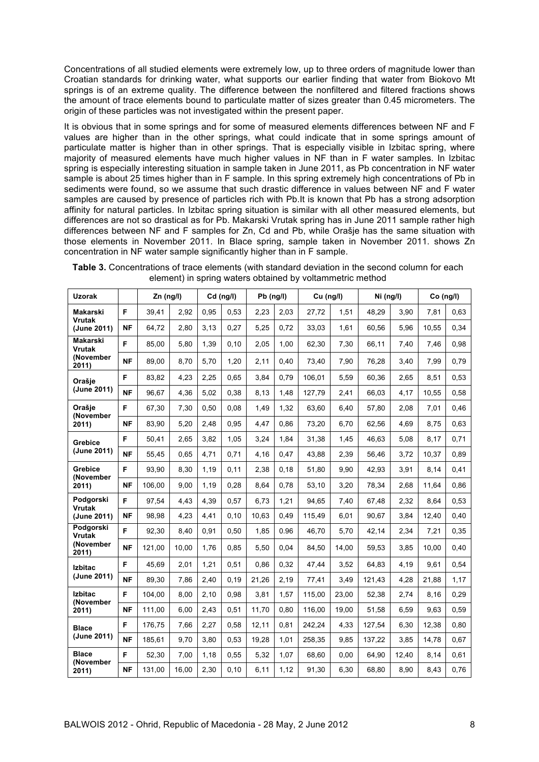Concentrations of all studied elements were extremely low, up to three orders of magnitude lower than Croatian standards for drinking water, what supports our earlier finding that water from Biokovo Mt springs is of an extreme quality. The difference between the nonfiltered and filtered fractions shows the amount of trace elements bound to particulate matter of sizes greater than 0.45 micrometers. The origin of these particles was not investigated within the present paper.

It is obvious that in some springs and for some of measured elements differences between NF and F values are higher than in the other springs, what could indicate that in some springs amount of particulate matter is higher than in other springs. That is especially visible in Izbitac spring, where majority of measured elements have much higher values in NF than in F water samples. In Izbitac spring is especially interesting situation in sample taken in June 2011, as Pb concentration in NF water sample is about 25 times higher than in F sample. In this spring extremely high concentrations of Pb in sediments were found, so we assume that such drastic difference in values between NF and F water samples are caused by presence of particles rich with Pb.It is known that Pb has a strong adsorption affinity for natural particles. In Izbitac spring situation is similar with all other measured elements, but differences are not so drastical as for Pb. Makarski Vrutak spring has in June 2011 sample rather high differences between NF and F samples for Zn, Cd and Pb, while Orašje has the same situation with those elements in November 2011. In Blace spring, sample taken in November 2011. shows Zn concentration in NF water sample significantly higher than in F sample.

| <b>Uzorak</b>                            |           | Zn (ng/l) |       | $Cd$ (ng/l) |       | $Pb$ (ng/l) |      | Cu (ng/l) |       | Ni (ng/l) |       | Co (ng/l) |      |
|------------------------------------------|-----------|-----------|-------|-------------|-------|-------------|------|-----------|-------|-----------|-------|-----------|------|
| Makarski<br><b>Vrutak</b><br>(June 2011) | F         | 39,41     | 2,92  | 0,95        | 0,53  | 2,23        | 2,03 | 27,72     | 1,51  | 48,29     | 3,90  | 7,81      | 0,63 |
|                                          | <b>NF</b> | 64,72     | 2,80  | 3,13        | 0,27  | 5,25        | 0,72 | 33,03     | 1,61  | 60,56     | 5,96  | 10,55     | 0,34 |
| Makarski<br><b>Vrutak</b>                | F.        | 85,00     | 5,80  | 1,39        | 0,10  | 2,05        | 1,00 | 62,30     | 7,30  | 66,11     | 7,40  | 7,46      | 0,98 |
| (November<br>2011)                       | NF        | 89,00     | 8,70  | 5,70        | 1,20  | 2,11        | 0,40 | 73,40     | 7,90  | 76,28     | 3,40  | 7,99      | 0,79 |
| Orašje                                   | F         | 83.82     | 4,23  | 2,25        | 0.65  | 3,84        | 0.79 | 106.01    | 5,59  | 60,36     | 2,65  | 8,51      | 0,53 |
| (June 2011)                              | <b>NF</b> | 96,67     | 4,36  | 5,02        | 0,38  | 8.13        | 1,48 | 127,79    | 2,41  | 66,03     | 4,17  | 10,55     | 0,58 |
| Orašie<br>(November                      | F         | 67,30     | 7,30  | 0,50        | 0,08  | 1,49        | 1,32 | 63,60     | 6,40  | 57,80     | 2,08  | 7,01      | 0,46 |
| 2011)                                    | <b>NF</b> | 83,90     | 5,20  | 2,48        | 0,95  | 4,47        | 0,86 | 73,20     | 6,70  | 62,56     | 4,69  | 8,75      | 0,63 |
| Grebice                                  | F         | 50,41     | 2,65  | 3,82        | 1,05  | 3,24        | 1.84 | 31,38     | 1,45  | 46,63     | 5,08  | 8,17      | 0,71 |
| (June 2011)                              | <b>NF</b> | 55,45     | 0,65  | 4,71        | 0,71  | 4,16        | 0,47 | 43,88     | 2,39  | 56,46     | 3,72  | 10,37     | 0,89 |
| Grebice<br>(November                     | F         | 93,90     | 8,30  | 1,19        | 0,11  | 2.38        | 0,18 | 51,80     | 9,90  | 42,93     | 3,91  | 8,14      | 0,41 |
| 2011)                                    | <b>NF</b> | 106,00    | 9,00  | 1,19        | 0,28  | 8,64        | 0.78 | 53,10     | 3,20  | 78,34     | 2,68  | 11.64     | 0,86 |
| Podgorski<br><b>Vrutak</b>               | F.        | 97,54     | 4,43  | 4.39        | 0,57  | 6,73        | 1,21 | 94.65     | 7,40  | 67,48     | 2,32  | 8,64      | 0,53 |
| (June 2011)                              | <b>NF</b> | 98,98     | 4,23  | 4,41        | 0, 10 | 10,63       | 0,49 | 115,49    | 6,01  | 90,67     | 3,84  | 12,40     | 0,40 |
| Podgorski<br>Vrutak                      | F.        | 92,30     | 8,40  | 0,91        | 0,50  | 1,85        | 0.96 | 46,70     | 5,70  | 42,14     | 2,34  | 7,21      | 0,35 |
| (November<br>2011)                       | <b>NF</b> | 121,00    | 10,00 | 1.76        | 0,85  | 5,50        | 0.04 | 84,50     | 14,00 | 59,53     | 3,85  | 10,00     | 0,40 |
| <b>Izbitac</b>                           | F         | 45,69     | 2,01  | 1,21        | 0,51  | 0,86        | 0,32 | 47,44     | 3,52  | 64,83     | 4,19  | 9,61      | 0,54 |
| (June 2011)                              | <b>NF</b> | 89,30     | 7,86  | 2,40        | 0,19  | 21,26       | 2,19 | 77,41     | 3,49  | 121,43    | 4,28  | 21,88     | 1,17 |
| <b>Izbitac</b><br>(November              | F         | 104.00    | 8,00  | 2,10        | 0,98  | 3,81        | 1,57 | 115.00    | 23,00 | 52,38     | 2,74  | 8,16      | 0,29 |
| 2011)                                    | <b>NF</b> | 111,00    | 6,00  | 2,43        | 0,51  | 11,70       | 0,80 | 116,00    | 19,00 | 51,58     | 6,59  | 9,63      | 0,59 |
| <b>Blace</b>                             | F.        | 176,75    | 7,66  | 2,27        | 0,58  | 12,11       | 0,81 | 242,24    | 4,33  | 127,54    | 6,30  | 12,38     | 0,80 |
| (June 2011)                              | <b>NF</b> | 185,61    | 9,70  | 3,80        | 0,53  | 19,28       | 1,01 | 258,35    | 9,85  | 137,22    | 3,85  | 14,78     | 0,67 |
| <b>Blace</b><br>(November                | F         | 52,30     | 7,00  | 1,18        | 0,55  | 5,32        | 1,07 | 68,60     | 0,00  | 64,90     | 12,40 | 8,14      | 0,61 |
| 2011)                                    | <b>NF</b> | 131,00    | 16,00 | 2.30        | 0, 10 | 6,11        | 1,12 | 91,30     | 6,30  | 68,80     | 8,90  | 8,43      | 0,76 |

**Table 3.** Concentrations of trace elements (with standard deviation in the second column for each element) in spring waters obtained by voltammetric method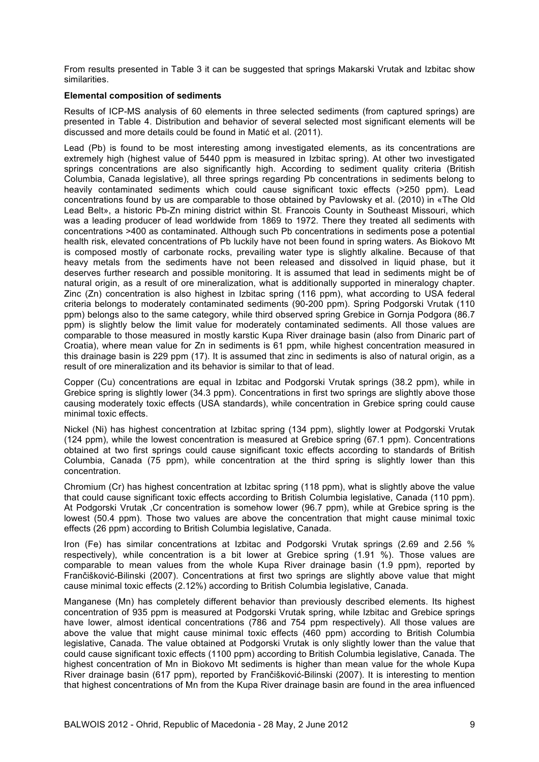From results presented in Table 3 it can be suggested that springs Makarski Vrutak and Izbitac show similarities.

#### **Elemental composition of sediments**

Results of ICP-MS analysis of 60 elements in three selected sediments (from captured springs) are presented in Table 4. Distribution and behavior of several selected most significant elements will be discussed and more details could be found in Matić et al. (2011).

Lead (Pb) is found to be most interesting among investigated elements, as its concentrations are extremely high (highest value of 5440 ppm is measured in Izbitac spring). At other two investigated springs concentrations are also significantly high. According to sediment quality criteria (British Columbia, Canada legislative), all three springs regarding Pb concentrations in sediments belong to heavily contaminated sediments which could cause significant toxic effects (>250 ppm). Lead concentrations found by us are comparable to those obtained by Pavlowsky et al. (2010) in «The Old Lead Belt», a historic Pb-Zn mining district within St. Francois County in Southeast Missouri, which was a leading producer of lead worldwide from 1869 to 1972. There they treated all sediments with concentrations >400 as contaminated. Although such Pb concentrations in sediments pose a potential health risk, elevated concentrations of Pb luckily have not been found in spring waters. As Biokovo Mt is composed mostly of carbonate rocks, prevailing water type is slightly alkaline. Because of that heavy metals from the sediments have not been released and dissolved in liquid phase, but it deserves further research and possible monitoring. It is assumed that lead in sediments might be of natural origin, as a result of ore mineralization, what is additionally supported in mineralogy chapter. Zinc (Zn) concentration is also highest in Izbitac spring (116 ppm), what according to USA federal criteria belongs to moderately contaminated sediments (90-200 ppm). Spring Podgorski Vrutak (110 ppm) belongs also to the same category, while third observed spring Grebice in Gornja Podgora (86.7 ppm) is slightly below the limit value for moderately contaminated sediments. All those values are comparable to those measured in mostly karstic Kupa River drainage basin (also from Dinaric part of Croatia), where mean value for Zn in sediments is 61 ppm, while highest concentration measured in this drainage basin is 229 ppm (17). It is assumed that zinc in sediments is also of natural origin, as a result of ore mineralization and its behavior is similar to that of lead.

Copper (Cu) concentrations are equal in Izbitac and Podgorski Vrutak springs (38.2 ppm), while in Grebice spring is slightly lower (34.3 ppm). Concentrations in first two springs are slightly above those causing moderately toxic effects (USA standards), while concentration in Grebice spring could cause minimal toxic effects.

Nickel (Ni) has highest concentration at Izbitac spring (134 ppm), slightly lower at Podgorski Vrutak (124 ppm), while the lowest concentration is measured at Grebice spring (67.1 ppm). Concentrations obtained at two first springs could cause significant toxic effects according to standards of British Columbia, Canada (75 ppm), while concentration at the third spring is slightly lower than this concentration.

Chromium (Cr) has highest concentration at Izbitac spring (118 ppm), what is slightly above the value that could cause significant toxic effects according to British Columbia legislative, Canada (110 ppm). At Podgorski Vrutak ,Cr concentration is somehow lower (96.7 ppm), while at Grebice spring is the lowest (50.4 ppm). Those two values are above the concentration that might cause minimal toxic effects (26 ppm) according to British Columbia legislative, Canada.

Iron (Fe) has similar concentrations at Izbitac and Podgorski Vrutak springs (2.69 and 2.56 % respectively), while concentration is a bit lower at Grebice spring (1.91 %). Those values are comparable to mean values from the whole Kupa River drainage basin (1.9 ppm), reported by Frančišković-Bilinski (2007). Concentrations at first two springs are slightly above value that might cause minimal toxic effects (2.12%) according to British Columbia legislative, Canada.

Manganese (Mn) has completely different behavior than previously described elements. Its highest concentration of 935 ppm is measured at Podgorski Vrutak spring, while Izbitac and Grebice springs have lower, almost identical concentrations (786 and 754 ppm respectively). All those values are above the value that might cause minimal toxic effects (460 ppm) according to British Columbia legislative, Canada. The value obtained at Podgorski Vrutak is only slightly lower than the value that could cause significant toxic effects (1100 ppm) according to British Columbia legislative, Canada. The highest concentration of Mn in Biokovo Mt sediments is higher than mean value for the whole Kupa River drainage basin (617 ppm), reported by Frančišković-Bilinski (2007). It is interesting to mention that highest concentrations of Mn from the Kupa River drainage basin are found in the area influenced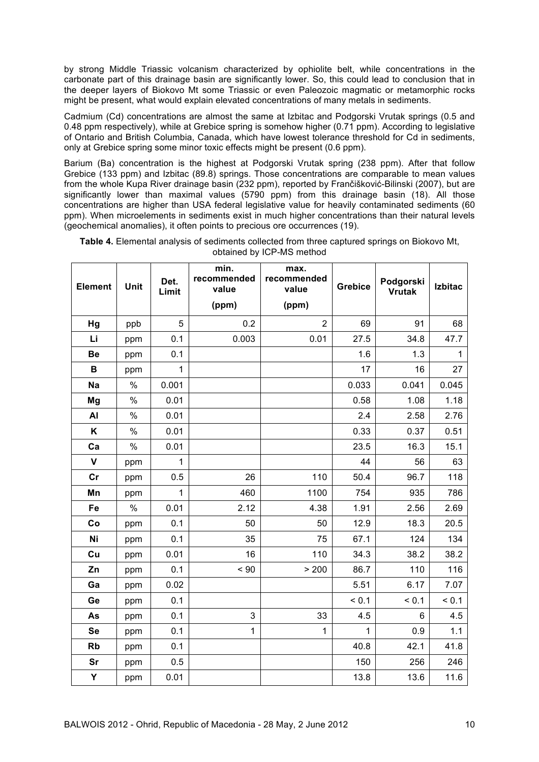by strong Middle Triassic volcanism characterized by ophiolite belt, while concentrations in the carbonate part of this drainage basin are significantly lower. So, this could lead to conclusion that in the deeper layers of Biokovo Mt some Triassic or even Paleozoic magmatic or metamorphic rocks might be present, what would explain elevated concentrations of many metals in sediments.

Cadmium (Cd) concentrations are almost the same at Izbitac and Podgorski Vrutak springs (0.5 and 0.48 ppm respectively), while at Grebice spring is somehow higher (0.71 ppm). According to legislative of Ontario and British Columbia, Canada, which have lowest tolerance threshold for Cd in sediments, only at Grebice spring some minor toxic effects might be present (0.6 ppm).

Barium (Ba) concentration is the highest at Podgorski Vrutak spring (238 ppm). After that follow Grebice (133 ppm) and Izbitac (89.8) springs. Those concentrations are comparable to mean values from the whole Kupa River drainage basin (232 ppm), reported by Frančišković-Bilinski (2007), but are significantly lower than maximal values (5790 ppm) from this drainage basin (18). All those concentrations are higher than USA federal legislative value for heavily contaminated sediments (60 ppm). When microelements in sediments exist in much higher concentrations than their natural levels (geochemical anomalies), it often points to precious ore occurrences (19).

|           | <b>Element</b><br>Unit |              | min.<br>recommended<br>value | max.<br>recommended<br>value | <b>Grebice</b> | Podgorski     | <b>Izbitac</b> |
|-----------|------------------------|--------------|------------------------------|------------------------------|----------------|---------------|----------------|
|           |                        | Limit        |                              |                              |                | <b>Vrutak</b> |                |
|           |                        |              | (ppm)                        | (ppm)                        |                |               |                |
| Hg        | ppb                    | 5            | 0.2                          | 2                            | 69             | 91            | 68             |
| Li        | ppm                    | 0.1          | 0.003                        | 0.01                         | 27.5           | 34.8          | 47.7           |
| Be        | ppm                    | 0.1          |                              |                              | 1.6            | 1.3           | 1              |
| в         | ppm                    | $\mathbf{1}$ |                              |                              | 17             | 16            | 27             |
| <b>Na</b> | %                      | 0.001        |                              |                              | 0.033          | 0.041         | 0.045          |
| Mg        | $\%$                   | 0.01         |                              |                              | 0.58           | 1.08          | 1.18           |
| AI        | $\%$                   | 0.01         |                              |                              | 2.4            | 2.58          | 2.76           |
| K         | $\%$                   | 0.01         |                              |                              | 0.33           | 0.37          | 0.51           |
| Ca        | $\%$                   | 0.01         |                              |                              | 23.5           | 16.3          | 15.1           |
| V         | ppm                    | 1            |                              |                              | 44             | 56            | 63             |
| cr        | ppm                    | 0.5          | 26                           | 110                          | 50.4           | 96.7          | 118            |
| Mn        | ppm                    | $\mathbf{1}$ | 460                          | 1100                         | 754            | 935           | 786            |
| Fe        | $\%$                   | 0.01         | 2.12                         | 4.38                         | 1.91           | 2.56          | 2.69           |
| Co        | ppm                    | 0.1          | 50                           | 50                           | 12.9           | 18.3          | 20.5           |
| Ni        | ppm                    | 0.1          | 35                           | 75                           | 67.1           | 124           | 134            |
| Cu        | ppm                    | 0.01         | 16                           | 110                          | 34.3           | 38.2          | 38.2           |
| Zn        | ppm                    | 0.1          | < 90                         | > 200                        | 86.7           | 110           | 116            |
| Ga        | ppm                    | 0.02         |                              |                              | 5.51           | 6.17          | 7.07           |
| Ge        | ppm                    | 0.1          |                              |                              | < 0.1          | < 0.1         | < 0.1          |
| As        | ppm                    | 0.1          | 3                            | 33                           | 4.5            | 6             | 4.5            |
| <b>Se</b> | ppm                    | 0.1          | $\mathbf{1}$                 | $\mathbf{1}$                 | $\mathbf{1}$   | 0.9           | 1.1            |
| <b>Rb</b> | ppm                    | 0.1          |                              |                              | 40.8           | 42.1          | 41.8           |
| Sr        | ppm                    | 0.5          |                              |                              | 150            | 256           | 246            |
| Y         | ppm                    | 0.01         |                              |                              | 13.8           | 13.6          | 11.6           |

**Table 4.** Elemental analysis of sediments collected from three captured springs on Biokovo Mt, obtained by ICP-MS method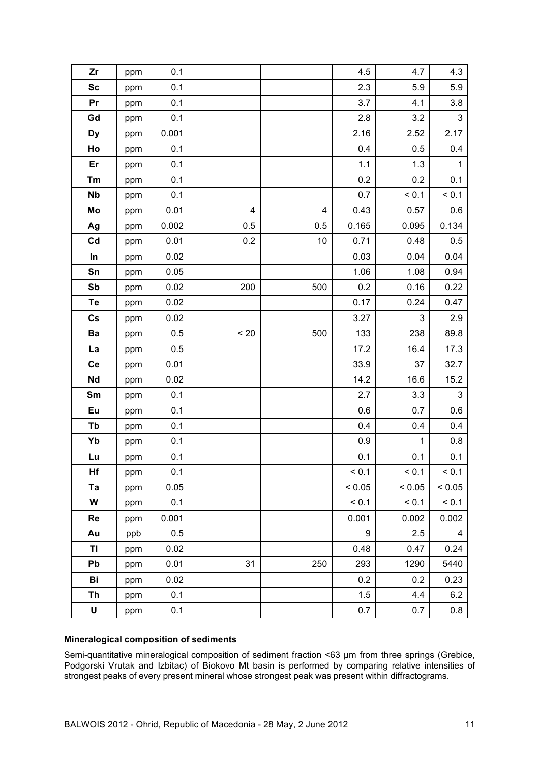| Zr            | ppm | 0.1     |      |     | 4.5    | 4.7         | 4.3            |
|---------------|-----|---------|------|-----|--------|-------------|----------------|
| <b>Sc</b>     | ppm | 0.1     |      |     | 2.3    | 5.9         | 5.9            |
| Pr            | ppm | 0.1     |      |     | 3.7    | 4.1         | 3.8            |
| Gd            | ppm | 0.1     |      |     | 2.8    | 3.2         | $\mathsf 3$    |
| <b>Dy</b>     | ppm | 0.001   |      |     | 2.16   | 2.52        | 2.17           |
| Ho            | ppm | 0.1     |      |     | 0.4    | 0.5         | 0.4            |
| Er            | ppm | 0.1     |      |     | 1.1    | 1.3         | $\mathbf{1}$   |
| Tm            | ppm | 0.1     |      |     | 0.2    | 0.2         | 0.1            |
| <b>Nb</b>     | ppm | 0.1     |      |     | 0.7    | < 0.1       | < 0.1          |
| Mo            | ppm | 0.01    | 4    | 4   | 0.43   | 0.57        | 0.6            |
| Ag            | ppm | 0.002   | 0.5  | 0.5 | 0.165  | 0.095       | 0.134          |
| Cd            | ppm | 0.01    | 0.2  | 10  | 0.71   | 0.48        | 0.5            |
| In            | ppm | 0.02    |      |     | 0.03   | 0.04        | 0.04           |
| Sn            | ppm | 0.05    |      |     | 1.06   | 1.08        | 0.94           |
| Sb            | ppm | 0.02    | 200  | 500 | 0.2    | 0.16        | 0.22           |
| Te            | ppm | 0.02    |      |     | 0.17   | 0.24        | 0.47           |
| $\mathsf{Cs}$ | ppm | 0.02    |      |     | 3.27   | 3           | $2.9\,$        |
| Ba            | ppm | 0.5     | < 20 | 500 | 133    | 238         | 89.8           |
| La            | ppm | $0.5\,$ |      |     | 17.2   | 16.4        | 17.3           |
| Ce            | ppm | 0.01    |      |     | 33.9   | 37          | 32.7           |
| Nd            | ppm | 0.02    |      |     | 14.2   | 16.6        | 15.2           |
| Sm            | ppm | 0.1     |      |     | 2.7    | 3.3         | $\mathfrak{S}$ |
| Eu            | ppm | 0.1     |      |     | 0.6    | 0.7         | 0.6            |
| Tb            | ppm | 0.1     |      |     | 0.4    | 0.4         | 0.4            |
| Yb            | ppm | 0.1     |      |     | 0.9    | $\mathbf 1$ | 0.8            |
| Lu            | ppm | 0.1     |      |     | 0.1    | 0.1         | 0.1            |
| Hf            | ppm | 0.1     |      |     | < 0.1  | < 0.1       | < 0.1          |
| Ta            | ppm | 0.05    |      |     | < 0.05 | < 0.05      | < 0.05         |
| W             | ppm | 0.1     |      |     | < 0.1  | < 0.1       | < 0.1          |
| Re            | ppm | 0.001   |      |     | 0.001  | 0.002       | 0.002          |
| Au            | ppb | 0.5     |      |     | 9      | 2.5         | 4              |
| TI            | ppm | 0.02    |      |     | 0.48   | 0.47        | 0.24           |
| Pb            | ppm | 0.01    | 31   | 250 | 293    | 1290        | 5440           |
| Bi            | ppm | 0.02    |      |     | 0.2    | 0.2         | 0.23           |
| Th            | ppm | 0.1     |      |     | 1.5    | 4.4         | 6.2            |
| U             | ppm | 0.1     |      |     | 0.7    | 0.7         | 0.8            |
|               |     |         |      |     |        |             |                |

### **Mineralogical composition of sediments**

Semi-quantitative mineralogical composition of sediment fraction <63 µm from three springs (Grebice, Podgorski Vrutak and Izbitac) of Biokovo Mt basin is performed by comparing relative intensities of strongest peaks of every present mineral whose strongest peak was present within diffractograms.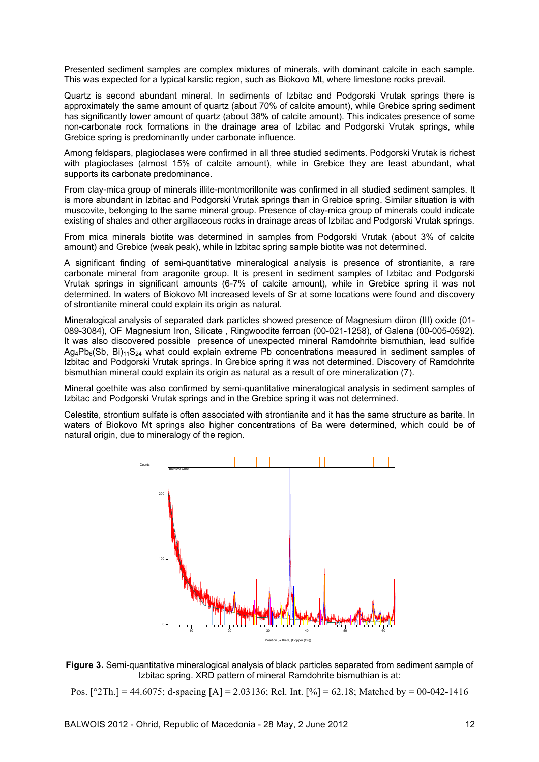Presented sediment samples are complex mixtures of minerals, with dominant calcite in each sample. This was expected for a typical karstic region, such as Biokovo Mt, where limestone rocks prevail.

Quartz is second abundant mineral. In sediments of Izbitac and Podgorski Vrutak springs there is approximately the same amount of quartz (about 70% of calcite amount), while Grebice spring sediment has significantly lower amount of quartz (about 38% of calcite amount). This indicates presence of some non-carbonate rock formations in the drainage area of Izbitac and Podgorski Vrutak springs, while Grebice spring is predominantly under carbonate influence.

Among feldspars, plagioclases were confirmed in all three studied sediments. Podgorski Vrutak is richest with plagioclases (almost 15% of calcite amount), while in Grebice they are least abundant, what supports its carbonate predominance.

From clay-mica group of minerals illite-montmorillonite was confirmed in all studied sediment samples. It is more abundant in Izbitac and Podgorski Vrutak springs than in Grebice spring. Similar situation is with muscovite, belonging to the same mineral group. Presence of clay-mica group of minerals could indicate existing of shales and other argillaceous rocks in drainage areas of Izbitac and Podgorski Vrutak springs.

From mica minerals biotite was determined in samples from Podgorski Vrutak (about 3% of calcite amount) and Grebice (weak peak), while in Izbitac spring sample biotite was not determined.

A significant finding of semi-quantitative mineralogical analysis is presence of strontianite, a rare carbonate mineral from aragonite group. It is present in sediment samples of Izbitac and Podgorski Vrutak springs in significant amounts (6-7% of calcite amount), while in Grebice spring it was not determined. In waters of Biokovo Mt increased levels of Sr at some locations were found and discovery of strontianite mineral could explain its origin as natural.

Mineralogical analysis of separated dark particles showed presence of Magnesium diiron (III) oxide (01- 089-3084), OF Magnesium Iron, Silicate , Ringwoodite ferroan (00-021-1258), of Galena (00-005-0592). It was also discovered possible presence of unexpected mineral Ramdohrite bismuthian, lead sulfide  $Ag_4Pb_6(Sb, Bi)_{11}S_{24}$  what could explain extreme Pb concentrations measured in sediment samples of Izbitac and Podgorski Vrutak springs. In Grebice spring it was not determined. Discovery of Ramdohrite bismuthian mineral could explain its origin as natural as a result of ore mineralization (7).

Mineral goethite was also confirmed by semi-quantitative mineralogical analysis in sediment samples of Izbitac and Podgorski Vrutak springs and in the Grebice spring it was not determined.

Celestite, strontium sulfate is often associated with strontianite and it has the same structure as barite. In waters of Biokovo Mt springs also higher concentrations of Ba were determined, which could be of natural origin, due to mineralogy of the region.



**Figure 3.** Semi-quantitative mineralogical analysis of black particles separated from sediment sample of Izbitac spring. XRD pattern of mineral Ramdohrite bismuthian is at:

Pos. [°2Th.] = 44.6075; d-spacing [A] = 2.03136; Rel. Int. [%] = 62.18; Matched by = 00-042-1416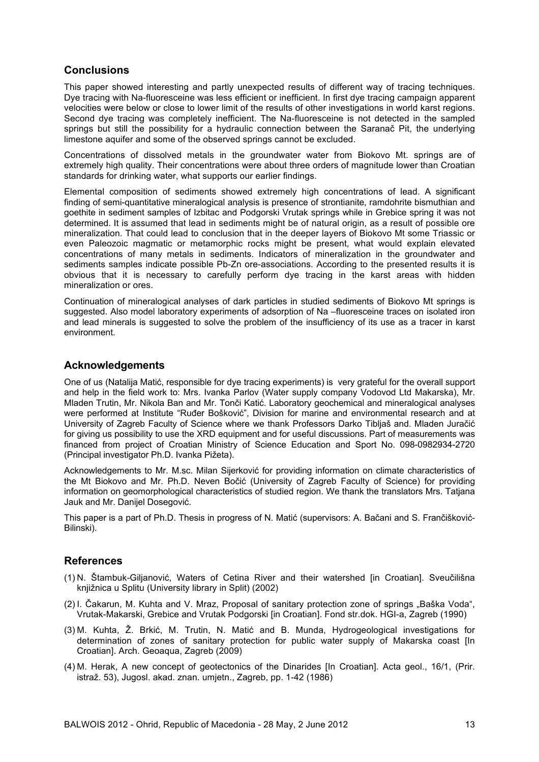# **Conclusions**

This paper showed interesting and partly unexpected results of different way of tracing techniques. Dye tracing with Na-fluoresceine was less efficient or inefficient. In first dye tracing campaign apparent velocities were below or close to lower limit of the results of other investigations in world karst regions. Second dye tracing was completely inefficient. The Na-fluoresceine is not detected in the sampled springs but still the possibility for a hydraulic connection between the Saranač Pit, the underlying limestone aquifer and some of the observed springs cannot be excluded.

Concentrations of dissolved metals in the groundwater water from Biokovo Mt. springs are of extremely high quality. Their concentrations were about three orders of magnitude lower than Croatian standards for drinking water, what supports our earlier findings.

Elemental composition of sediments showed extremely high concentrations of lead. A significant finding of semi-quantitative mineralogical analysis is presence of strontianite, ramdohrite bismuthian and goethite in sediment samples of Izbitac and Podgorski Vrutak springs while in Grebice spring it was not determined. It is assumed that lead in sediments might be of natural origin, as a result of possible ore mineralization. That could lead to conclusion that in the deeper layers of Biokovo Mt some Triassic or even Paleozoic magmatic or metamorphic rocks might be present, what would explain elevated concentrations of many metals in sediments. Indicators of mineralization in the groundwater and sediments samples indicate possible Pb-Zn ore-associations. According to the presented results it is obvious that it is necessary to carefully perform dye tracing in the karst areas with hidden mineralization or ores.

Continuation of mineralogical analyses of dark particles in studied sediments of Biokovo Mt springs is suggested. Also model laboratory experiments of adsorption of Na –fluoresceine traces on isolated iron and lead minerals is suggested to solve the problem of the insufficiency of its use as a tracer in karst environment.

# **Acknowledgements**

One of us (Natalija Matić, responsible for dye tracing experiments) is very grateful for the overall support and help in the field work to: Mrs. Ivanka Parlov (Water supply company Vodovod Ltd Makarska), Mr. Mladen Trutin, Mr. Nikola Ban and Mr. Tonči Katić. Laboratory geochemical and mineralogical analyses were performed at Institute "Ruđer Bošković", Division for marine and environmental research and at University of Zagreb Faculty of Science where we thank Professors Darko Tibljaš and. Mladen Juračić for giving us possibility to use the XRD equipment and for useful discussions. Part of measurements was financed from project of Croatian Ministry of Science Education and Sport No. 098-0982934-2720 (Principal investigator Ph.D. Ivanka Pižeta).

Acknowledgements to Mr. M.sc. Milan Sijerković for providing information on climate characteristics of the Mt Biokovo and Mr. Ph.D. Neven Bočić (University of Zagreb Faculty of Science) for providing information on geomorphological characteristics of studied region. We thank the translators Mrs. Tatjana Jauk and Mr. Danijel Dosegović.

This paper is a part of Ph.D. Thesis in progress of N. Matić (supervisors: A. Bačani and S. Frančišković-Bilinski).

### **References**

- (1) N. Štambuk-Giljanović, Waters of Cetina River and their watershed [in Croatian]. Sveučilišna knjižnica u Splitu (University library in Split) (2002)
- (2) I. Čakarun, M. Kuhta and V. Mraz, Proposal of sanitary protection zone of springs "Baška Voda", Vrutak-Makarski, Grebice and Vrutak Podgorski [in Croatian]. Fond str.dok. HGI-a, Zagreb (1990)
- (3) M. Kuhta, Ž. Brkić, M. Trutin, N. Matić and B. Munda, Hydrogeological investigations for determination of zones of sanitary protection for public water supply of Makarska coast [In Croatian]. Arch. Geoaqua, Zagreb (2009)
- (4) M. Herak, A new concept of geotectonics of the Dinarides [In Croatian]. Acta geol., 16/1, (Prir. istraž. 53), Jugosl. akad. znan. umjetn., Zagreb, pp. 1-42 (1986)